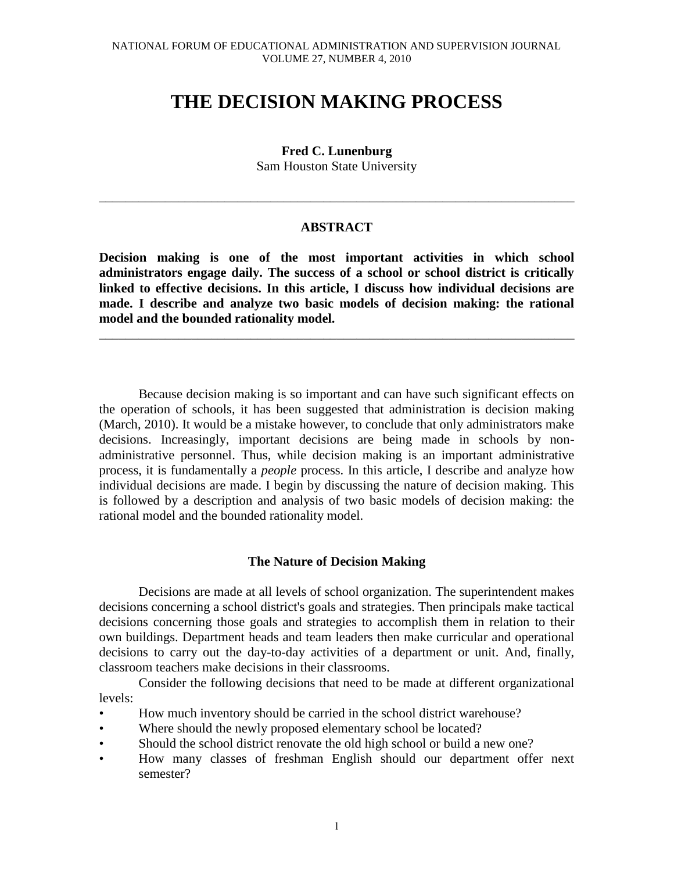# **THE DECISION MAKING PROCESS**

**Fred C. Lunenburg** Sam Houston State University

# **ABSTRACT**

\_\_\_\_\_\_\_\_\_\_\_\_\_\_\_\_\_\_\_\_\_\_\_\_\_\_\_\_\_\_\_\_\_\_\_\_\_\_\_\_\_\_\_\_\_\_\_\_\_\_\_\_\_\_\_\_\_\_\_\_\_\_\_\_\_\_\_\_\_\_\_\_

**Decision making is one of the most important activities in which school administrators engage daily. The success of a school or school district is critically linked to effective decisions. In this article, I discuss how individual decisions are made. I describe and analyze two basic models of decision making: the rational model and the bounded rationality model.** 

\_\_\_\_\_\_\_\_\_\_\_\_\_\_\_\_\_\_\_\_\_\_\_\_\_\_\_\_\_\_\_\_\_\_\_\_\_\_\_\_\_\_\_\_\_\_\_\_\_\_\_\_\_\_\_\_\_\_\_\_\_\_\_\_\_\_\_\_\_\_\_\_

Because decision making is so important and can have such significant effects on the operation of schools, it has been suggested that administration is decision making (March, 2010). It would be a mistake however, to conclude that only administrators make decisions. Increasingly, important decisions are being made in schools by nonadministrative personnel. Thus, while decision making is an important administrative process, it is fundamentally a *people* process. In this article, I describe and analyze how individual decisions are made. I begin by discussing the nature of decision making. This is followed by a description and analysis of two basic models of decision making: the rational model and the bounded rationality model.

# **The Nature of Decision Making**

Decisions are made at all levels of school organization. The superintendent makes decisions concerning a school district's goals and strategies. Then principals make tactical decisions concerning those goals and strategies to accomplish them in relation to their own buildings. Department heads and team leaders then make curricular and operational decisions to carry out the day-to-day activities of a department or unit. And, finally, classroom teachers make decisions in their classrooms.

Consider the following decisions that need to be made at different organizational levels:

- How much inventory should be carried in the school district warehouse?
- Where should the newly proposed elementary school be located?
- Should the school district renovate the old high school or build a new one?
- How many classes of freshman English should our department offer next semester?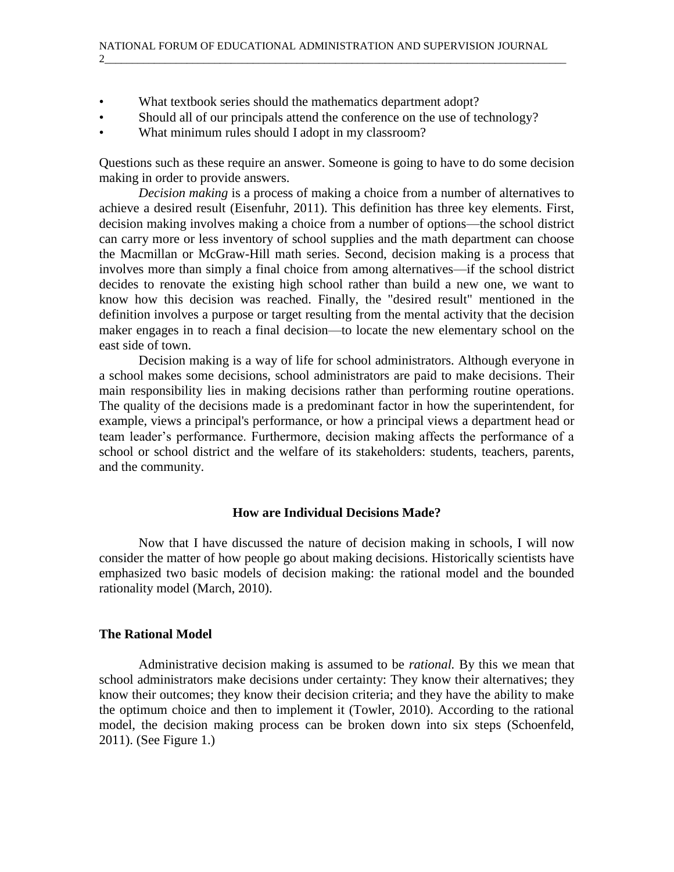- What textbook series should the mathematics department adopt?
- Should all of our principals attend the conference on the use of technology?
- What minimum rules should I adopt in my classroom?

Questions such as these require an answer. Someone is going to have to do some decision making in order to provide answers.

*Decision making* is a process of making a choice from a number of alternatives to achieve a desired result (Eisenfuhr, 2011). This definition has three key elements. First, decision making involves making a choice from a number of options—the school district can carry more or less inventory of school supplies and the math department can choose the Macmillan or McGraw-Hill math series. Second, decision making is a process that involves more than simply a final choice from among alternatives—if the school district decides to renovate the existing high school rather than build a new one, we want to know how this decision was reached. Finally, the "desired result" mentioned in the definition involves a purpose or target resulting from the mental activity that the decision maker engages in to reach a final decision—to locate the new elementary school on the east side of town.

Decision making is a way of life for school administrators. Although everyone in a school makes some decisions, school administrators are paid to make decisions. Their main responsibility lies in making decisions rather than performing routine operations. The quality of the decisions made is a predominant factor in how the superintendent, for example, views a principal's performance, or how a principal views a department head or team leader's performance. Furthermore, decision making affects the performance of a school or school district and the welfare of its stakeholders: students, teachers, parents, and the community.

#### **How are Individual Decisions Made?**

Now that I have discussed the nature of decision making in schools, I will now consider the matter of how people go about making decisions. Historically scientists have emphasized two basic models of decision making: the rational model and the bounded rationality model (March, 2010).

#### **The Rational Model**

Administrative decision making is assumed to be *rational.* By this we mean that school administrators make decisions under certainty: They know their alternatives; they know their outcomes; they know their decision criteria; and they have the ability to make the optimum choice and then to implement it (Towler, 2010). According to the rational model, the decision making process can be broken down into six steps (Schoenfeld, 2011). (See Figure 1.)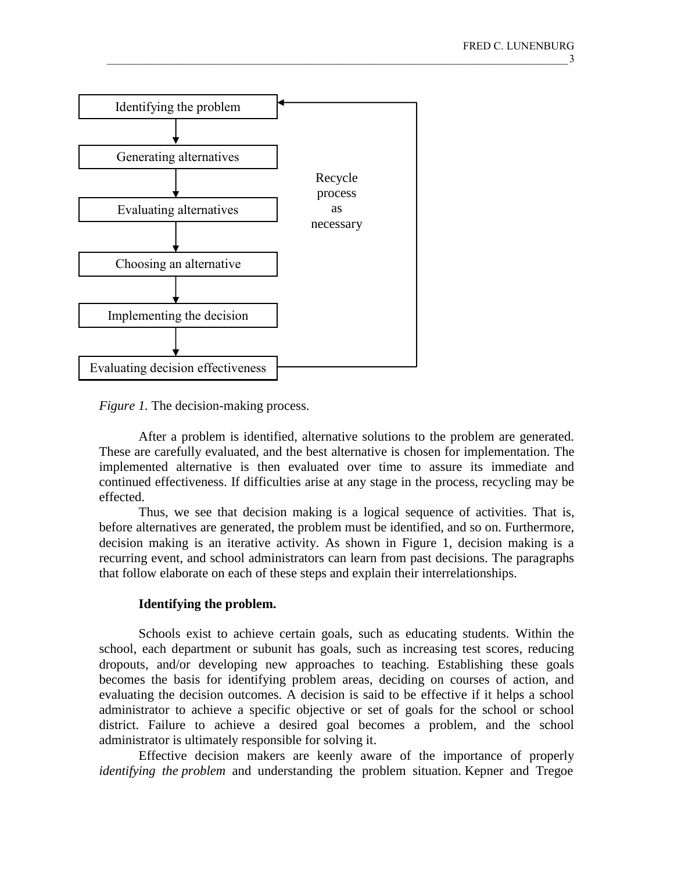

*Figure 1.* The decision-making process.

After a problem is identified, alternative solutions to the problem are generated. These are carefully evaluated, and the best alternative is chosen for implementation. The implemented alternative is then evaluated over time to assure its immediate and continued effectiveness. If difficulties arise at any stage in the process, recycling may be effected.

Thus, we see that decision making is a logical sequence of activities. That is, before alternatives are generated, the problem must be identified, and so on. Furthermore, decision making is an iterative activity. As shown in Figure 1, decision making is a recurring event, and school administrators can learn from past decisions. The paragraphs that follow elaborate on each of these steps and explain their interrelationships.

# **Identifying the problem.**

Schools exist to achieve certain goals, such as educating students. Within the school, each department or subunit has goals, such as increasing test scores, reducing dropouts, and/or developing new approaches to teaching. Establishing these goals becomes the basis for identifying problem areas, deciding on courses of action, and evaluating the decision outcomes. A decision is said to be effective if it helps a school administrator to achieve a specific objective or set of goals for the school or school district. Failure to achieve a desired goal becomes a problem, and the school administrator is ultimately responsible for solving it.

Effective decision makers are keenly aware of the importance of properly *identifying the problem* and understanding the problem situation. Kepner and Tregoe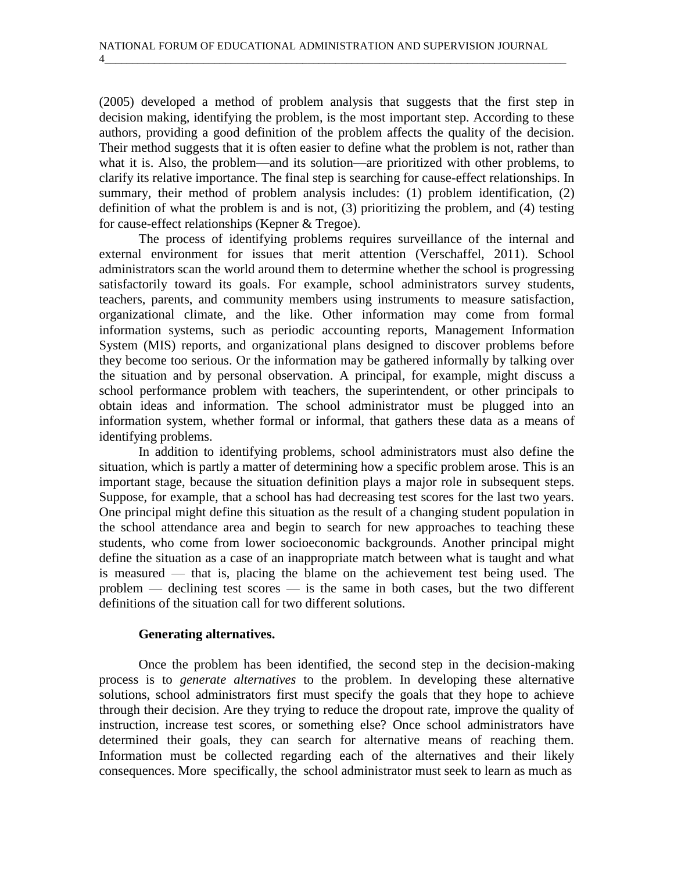(2005) developed a method of problem analysis that suggests that the first step in decision making, identifying the problem, is the most important step. According to these authors, providing a good definition of the problem affects the quality of the decision. Their method suggests that it is often easier to define what the problem is not, rather than what it is. Also, the problem—and its solution—are prioritized with other problems, to clarify its relative importance. The final step is searching for cause-effect relationships. In summary, their method of problem analysis includes: (1) problem identification, (2) definition of what the problem is and is not, (3) prioritizing the problem, and (4) testing for cause-effect relationships (Kepner & Tregoe).

The process of identifying problems requires surveillance of the internal and external environment for issues that merit attention (Verschaffel, 2011). School administrators scan the world around them to determine whether the school is progressing satisfactorily toward its goals. For example, school administrators survey students, teachers, parents, and community members using instruments to measure satisfaction, organizational climate, and the like. Other information may come from formal information systems, such as periodic accounting reports, Management Information System (MIS) reports, and organizational plans designed to discover problems before they become too serious. Or the information may be gathered informally by talking over the situation and by personal observation. A principal, for example, might discuss a school performance problem with teachers, the superintendent, or other principals to obtain ideas and information. The school administrator must be plugged into an information system, whether formal or informal, that gathers these data as a means of identifying problems.

In addition to identifying problems, school administrators must also define the situation, which is partly a matter of determining how a specific problem arose. This is an important stage, because the situation definition plays a major role in subsequent steps. Suppose, for example, that a school has had decreasing test scores for the last two years. One principal might define this situation as the result of a changing student population in the school attendance area and begin to search for new approaches to teaching these students, who come from lower socioeconomic backgrounds. Another principal might define the situation as a case of an inappropriate match between what is taught and what is measured — that is, placing the blame on the achievement test being used. The problem — declining test scores — is the same in both cases, but the two different definitions of the situation call for two different solutions.

# **Generating alternatives.**

Once the problem has been identified, the second step in the decision-making process is to *generate alternatives* to the problem. In developing these alternative solutions, school administrators first must specify the goals that they hope to achieve through their decision. Are they trying to reduce the dropout rate, improve the quality of instruction, increase test scores, or something else? Once school administrators have determined their goals, they can search for alternative means of reaching them. Information must be collected regarding each of the alternatives and their likely consequences. More specifically, the school administrator must seek to learn as much as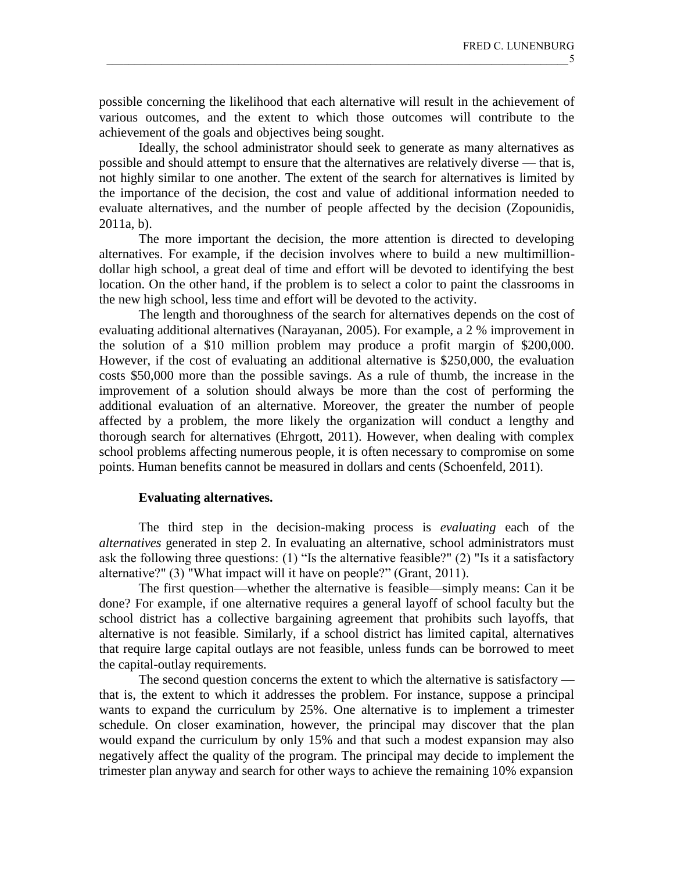possible concerning the likelihood that each alternative will result in the achievement of various outcomes, and the extent to which those outcomes will contribute to the achievement of the goals and objectives being sought.

Ideally, the school administrator should seek to generate as many alternatives as possible and should attempt to ensure that the alternatives are relatively diverse — that is, not highly similar to one another. The extent of the search for alternatives is limited by the importance of the decision, the cost and value of additional information needed to evaluate alternatives, and the number of people affected by the decision (Zopounidis, 2011a, b).

The more important the decision, the more attention is directed to developing alternatives. For example, if the decision involves where to build a new multimilliondollar high school, a great deal of time and effort will be devoted to identifying the best location. On the other hand, if the problem is to select a color to paint the classrooms in the new high school, less time and effort will be devoted to the activity.

The length and thoroughness of the search for alternatives depends on the cost of evaluating additional alternatives (Narayanan, 2005). For example, a 2 % improvement in the solution of a \$10 million problem may produce a profit margin of \$200,000. However, if the cost of evaluating an additional alternative is \$250,000, the evaluation costs \$50,000 more than the possible savings. As a rule of thumb, the increase in the improvement of a solution should always be more than the cost of performing the additional evaluation of an alternative. Moreover, the greater the number of people affected by a problem, the more likely the organization will conduct a lengthy and thorough search for alternatives (Ehrgott, 2011). However, when dealing with complex school problems affecting numerous people, it is often necessary to compromise on some points. Human benefits cannot be measured in dollars and cents (Schoenfeld, 2011).

#### **Evaluating alternatives.**

The third step in the decision-making process is *evaluating* each of the *alternatives* generated in step 2. In evaluating an alternative, school administrators must ask the following three questions: (1) "Is the alternative feasible?" (2) "Is it a satisfactory alternative?" (3) "What impact will it have on people?" (Grant, 2011).

The first question—whether the alternative is feasible—simply means: Can it be done? For example, if one alternative requires a general layoff of school faculty but the school district has a collective bargaining agreement that prohibits such layoffs, that alternative is not feasible. Similarly, if a school district has limited capital, alternatives that require large capital outlays are not feasible, unless funds can be borrowed to meet the capital-outlay requirements.

The second question concerns the extent to which the alternative is satisfactory that is, the extent to which it addresses the problem. For instance, suppose a principal wants to expand the curriculum by 25%. One alternative is to implement a trimester schedule. On closer examination, however, the principal may discover that the plan would expand the curriculum by only 15% and that such a modest expansion may also negatively affect the quality of the program. The principal may decide to implement the trimester plan anyway and search for other ways to achieve the remaining 10% expansion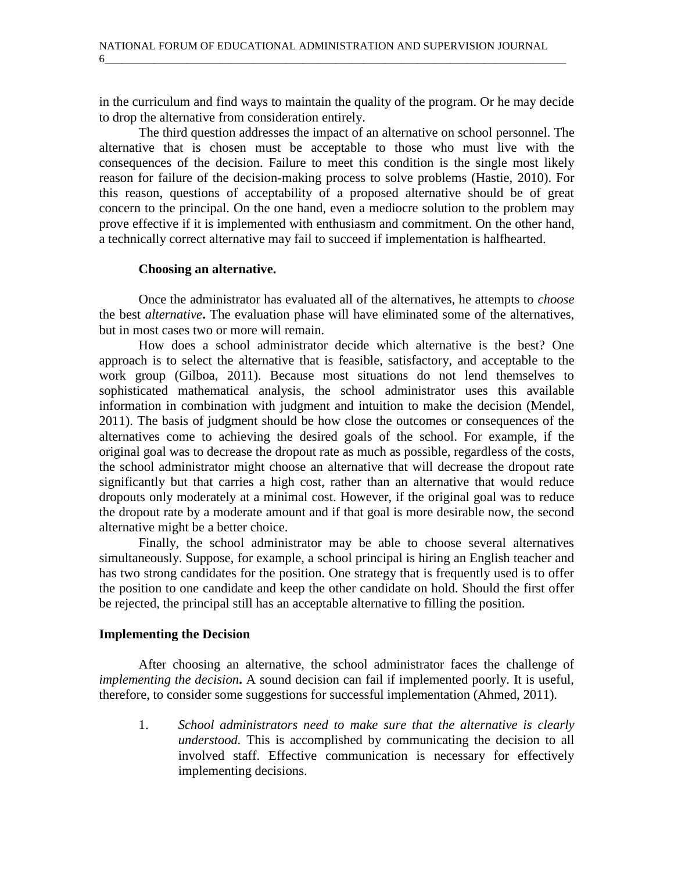6\_\_\_\_\_\_\_\_\_\_\_\_\_\_\_\_\_\_\_\_\_\_\_\_\_\_\_\_\_\_\_\_\_\_\_\_\_\_\_\_\_\_\_\_\_\_\_\_\_\_\_\_\_\_\_\_\_\_\_\_\_\_\_\_\_\_\_\_\_\_\_\_\_\_\_\_\_\_\_\_\_\_\_\_

in the curriculum and find ways to maintain the quality of the program. Or he may decide to drop the alternative from consideration entirely.

The third question addresses the impact of an alternative on school personnel. The alternative that is chosen must be acceptable to those who must live with the consequences of the decision. Failure to meet this condition is the single most likely reason for failure of the decision-making process to solve problems (Hastie, 2010). For this reason, questions of acceptability of a proposed alternative should be of great concern to the principal. On the one hand, even a mediocre solution to the problem may prove effective if it is implemented with enthusiasm and commitment. On the other hand, a technically correct alternative may fail to succeed if implementation is halfhearted.

## **Choosing an alternative.**

Once the administrator has evaluated all of the alternatives, he attempts to *choose* the best *alternative***.** The evaluation phase will have eliminated some of the alternatives, but in most cases two or more will remain.

How does a school administrator decide which alternative is the best? One approach is to select the alternative that is feasible, satisfactory, and acceptable to the work group (Gilboa, 2011). Because most situations do not lend themselves to sophisticated mathematical analysis, the school administrator uses this available information in combination with judgment and intuition to make the decision (Mendel, 2011). The basis of judgment should be how close the outcomes or consequences of the alternatives come to achieving the desired goals of the school. For example, if the original goal was to decrease the dropout rate as much as possible, regardless of the costs, the school administrator might choose an alternative that will decrease the dropout rate significantly but that carries a high cost, rather than an alternative that would reduce dropouts only moderately at a minimal cost. However, if the original goal was to reduce the dropout rate by a moderate amount and if that goal is more desirable now, the second alternative might be a better choice.

Finally, the school administrator may be able to choose several alternatives simultaneously. Suppose, for example, a school principal is hiring an English teacher and has two strong candidates for the position. One strategy that is frequently used is to offer the position to one candidate and keep the other candidate on hold. Should the first offer be rejected, the principal still has an acceptable alternative to filling the position.

# **Implementing the Decision**

After choosing an alternative, the school administrator faces the challenge of *implementing the decision***.** A sound decision can fail if implemented poorly. It is useful, therefore, to consider some suggestions for successful implementation (Ahmed, 2011).

1. *School administrators need to make sure that the alternative is clearly understood.* This is accomplished by communicating the decision to all involved staff. Effective communication is necessary for effectively implementing decisions.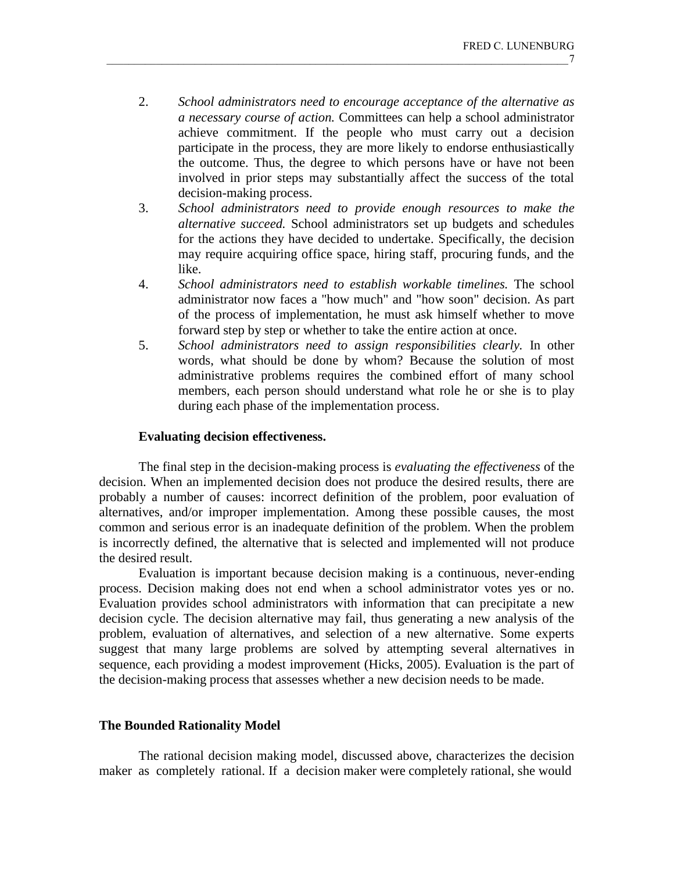- 2. *School administrators need to encourage acceptance of the alternative as a necessary course of action.* Committees can help a school administrator achieve commitment. If the people who must carry out a decision participate in the process, they are more likely to endorse enthusiastically the outcome. Thus, the degree to which persons have or have not been involved in prior steps may substantially affect the success of the total decision-making process.
- 3. *School administrators need to provide enough resources to make the alternative succeed.* School administrators set up budgets and schedules for the actions they have decided to undertake. Specifically, the decision may require acquiring office space, hiring staff, procuring funds, and the like.
- 4. *School administrators need to establish workable timelines.* The school administrator now faces a "how much" and "how soon" decision. As part of the process of implementation, he must ask himself whether to move forward step by step or whether to take the entire action at once.
- 5. *School administrators need to assign responsibilities clearly.* In other words, what should be done by whom? Because the solution of most administrative problems requires the combined effort of many school members, each person should understand what role he or she is to play during each phase of the implementation process.

### **Evaluating decision effectiveness.**

The final step in the decision-making process is *evaluating the effectiveness* of the decision. When an implemented decision does not produce the desired results, there are probably a number of causes: incorrect definition of the problem, poor evaluation of alternatives, and/or improper implementation. Among these possible causes, the most common and serious error is an inadequate definition of the problem. When the problem is incorrectly defined, the alternative that is selected and implemented will not produce the desired result.

Evaluation is important because decision making is a continuous, never-ending process. Decision making does not end when a school administrator votes yes or no. Evaluation provides school administrators with information that can precipitate a new decision cycle. The decision alternative may fail, thus generating a new analysis of the problem, evaluation of alternatives, and selection of a new alternative. Some experts suggest that many large problems are solved by attempting several alternatives in sequence, each providing a modest improvement (Hicks, 2005). Evaluation is the part of the decision-making process that assesses whether a new decision needs to be made.

#### **The Bounded Rationality Model**

The rational decision making model, discussed above, characterizes the decision maker as completely rational. If a decision maker were completely rational, she would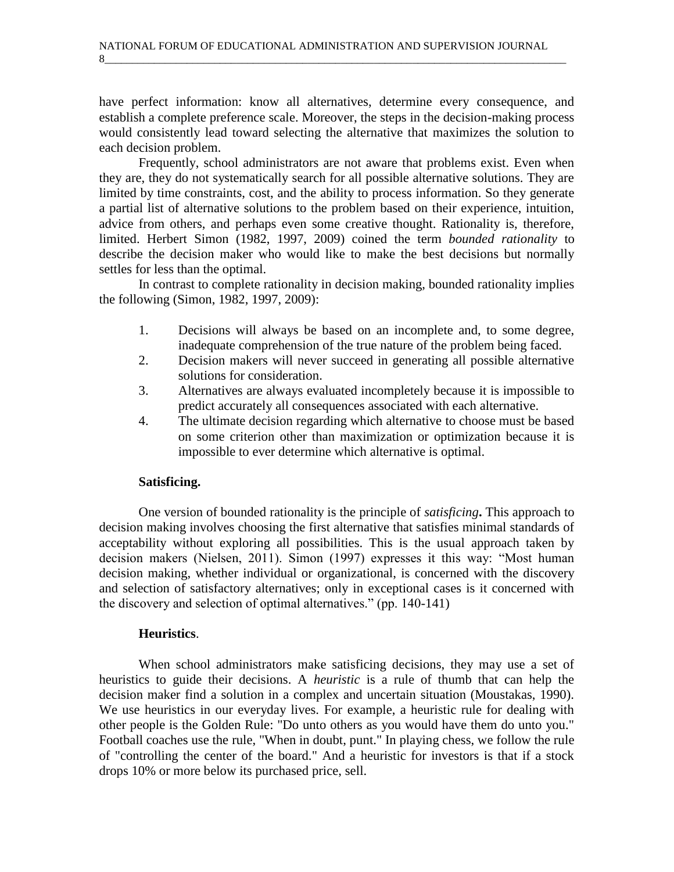have perfect information: know all alternatives, determine every consequence, and establish a complete preference scale. Moreover, the steps in the decision-making process would consistently lead toward selecting the alternative that maximizes the solution to each decision problem.

Frequently, school administrators are not aware that problems exist. Even when they are, they do not systematically search for all possible alternative solutions. They are limited by time constraints, cost, and the ability to process information. So they generate a partial list of alternative solutions to the problem based on their experience, intuition, advice from others, and perhaps even some creative thought. Rationality is, therefore, limited. Herbert Simon (1982, 1997, 2009) coined the term *bounded rationality* to describe the decision maker who would like to make the best decisions but normally settles for less than the optimal.

In contrast to complete rationality in decision making, bounded rationality implies the following (Simon, 1982, 1997, 2009):

- 1. Decisions will always be based on an incomplete and, to some degree, inadequate comprehension of the true nature of the problem being faced.
- 2. Decision makers will never succeed in generating all possible alternative solutions for consideration.
- 3. Alternatives are always evaluated incompletely because it is impossible to predict accurately all consequences associated with each alternative.
- 4. The ultimate decision regarding which alternative to choose must be based on some criterion other than maximization or optimization because it is impossible to ever determine which alternative is optimal.

# **Satisficing.**

One version of bounded rationality is the principle of *satisficing***.** This approach to decision making involves choosing the first alternative that satisfies minimal standards of acceptability without exploring all possibilities. This is the usual approach taken by decision makers (Nielsen, 2011). Simon (1997) expresses it this way: "Most human decision making, whether individual or organizational, is concerned with the discovery and selection of satisfactory alternatives; only in exceptional cases is it concerned with the discovery and selection of optimal alternatives." (pp. 140-141)

# **Heuristics**.

When school administrators make satisficing decisions, they may use a set of heuristics to guide their decisions. A *heuristic* is a rule of thumb that can help the decision maker find a solution in a complex and uncertain situation (Moustakas, 1990). We use heuristics in our everyday lives. For example, a heuristic rule for dealing with other people is the Golden Rule: "Do unto others as you would have them do unto you." Football coaches use the rule, "When in doubt, punt." In playing chess, we follow the rule of "controlling the center of the board." And a heuristic for investors is that if a stock drops 10% or more below its purchased price, sell.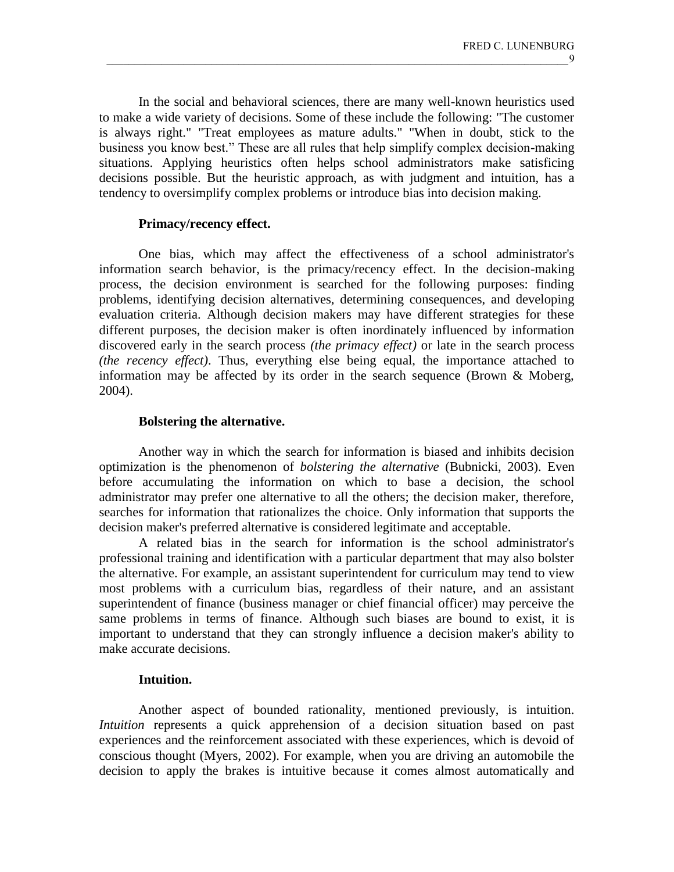In the social and behavioral sciences, there are many well-known heuristics used to make a wide variety of decisions. Some of these include the following: "The customer is always right." "Treat employees as mature adults." "When in doubt, stick to the business you know best." These are all rules that help simplify complex decision-making situations. Applying heuristics often helps school administrators make satisficing decisions possible. But the heuristic approach, as with judgment and intuition, has a tendency to oversimplify complex problems or introduce bias into decision making.

#### **Primacy/recency effect.**

One bias, which may affect the effectiveness of a school administrator's information search behavior, is the primacy/recency effect. In the decision-making process, the decision environment is searched for the following purposes: finding problems, identifying decision alternatives, determining consequences, and developing evaluation criteria. Although decision makers may have different strategies for these different purposes, the decision maker is often inordinately influenced by information discovered early in the search process *(the primacy effect)* or late in the search process *(the recency effect)*. Thus, everything else being equal, the importance attached to information may be affected by its order in the search sequence (Brown & Moberg, 2004).

# **Bolstering the alternative.**

Another way in which the search for information is biased and inhibits decision optimization is the phenomenon of *bolstering the alternative* (Bubnicki, 2003). Even before accumulating the information on which to base a decision, the school administrator may prefer one alternative to all the others; the decision maker, therefore, searches for information that rationalizes the choice. Only information that supports the decision maker's preferred alternative is considered legitimate and acceptable.

A related bias in the search for information is the school administrator's professional training and identification with a particular department that may also bolster the alternative. For example, an assistant superintendent for curriculum may tend to view most problems with a curriculum bias, regardless of their nature, and an assistant superintendent of finance (business manager or chief financial officer) may perceive the same problems in terms of finance. Although such biases are bound to exist, it is important to understand that they can strongly influence a decision maker's ability to make accurate decisions.

# **Intuition.**

Another aspect of bounded rationality, mentioned previously, is intuition. *Intuition* represents a quick apprehension of a decision situation based on past experiences and the reinforcement associated with these experiences, which is devoid of conscious thought (Myers, 2002). For example, when you are driving an automobile the decision to apply the brakes is intuitive because it comes almost automatically and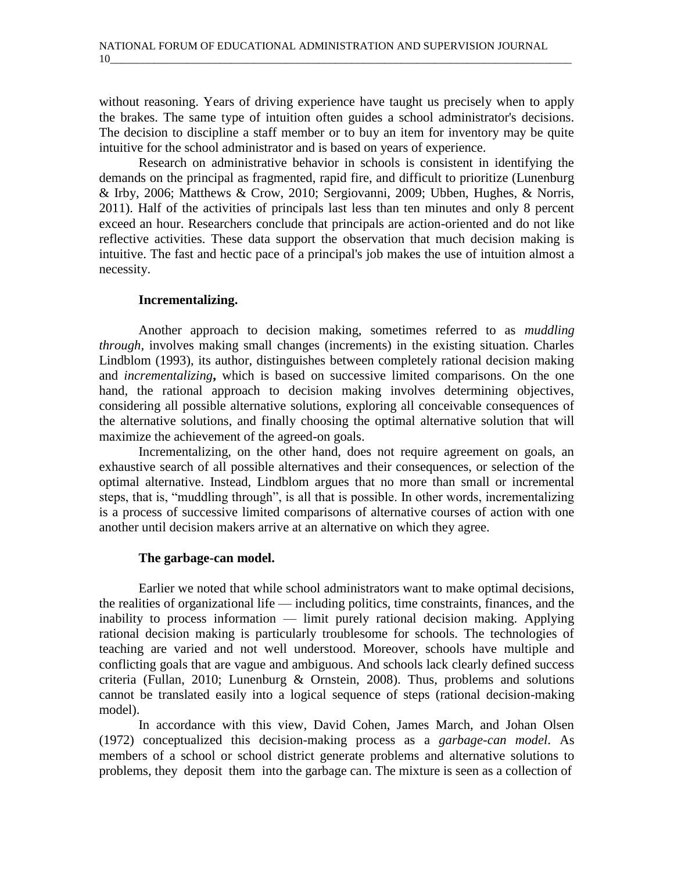without reasoning. Years of driving experience have taught us precisely when to apply the brakes. The same type of intuition often guides a school administrator's decisions. The decision to discipline a staff member or to buy an item for inventory may be quite intuitive for the school administrator and is based on years of experience.

Research on administrative behavior in schools is consistent in identifying the demands on the principal as fragmented, rapid fire, and difficult to prioritize (Lunenburg & Irby, 2006; Matthews & Crow, 2010; Sergiovanni, 2009; Ubben, Hughes, & Norris, 2011). Half of the activities of principals last less than ten minutes and only 8 percent exceed an hour. Researchers conclude that principals are action-oriented and do not like reflective activities. These data support the observation that much decision making is intuitive. The fast and hectic pace of a principal's job makes the use of intuition almost a necessity.

# **Incrementalizing.**

Another approach to decision making, sometimes referred to as *muddling through,* involves making small changes (increments) in the existing situation. Charles Lindblom (1993), its author, distinguishes between completely rational decision making and *incrementalizing***,** which is based on successive limited comparisons. On the one hand, the rational approach to decision making involves determining objectives, considering all possible alternative solutions, exploring all conceivable consequences of the alternative solutions, and finally choosing the optimal alternative solution that will maximize the achievement of the agreed-on goals.

Incrementalizing, on the other hand, does not require agreement on goals, an exhaustive search of all possible alternatives and their consequences, or selection of the optimal alternative. Instead, Lindblom argues that no more than small or incremental steps, that is, "muddling through", is all that is possible. In other words, incrementalizing is a process of successive limited comparisons of alternative courses of action with one another until decision makers arrive at an alternative on which they agree.

# **The garbage-can model.**

Earlier we noted that while school administrators want to make optimal decisions, the realities of organizational life — including politics, time constraints, finances, and the inability to process information — limit purely rational decision making. Applying rational decision making is particularly troublesome for schools. The technologies of teaching are varied and not well understood. Moreover, schools have multiple and conflicting goals that are vague and ambiguous. And schools lack clearly defined success criteria (Fullan, 2010; Lunenburg & Ornstein, 2008). Thus, problems and solutions cannot be translated easily into a logical sequence of steps (rational decision-making model).

In accordance with this view, David Cohen, James March, and Johan Olsen (1972) conceptualized this decision-making process as a *garbage-can model*. As members of a school or school district generate problems and alternative solutions to problems, they deposit them into the garbage can. The mixture is seen as a collection of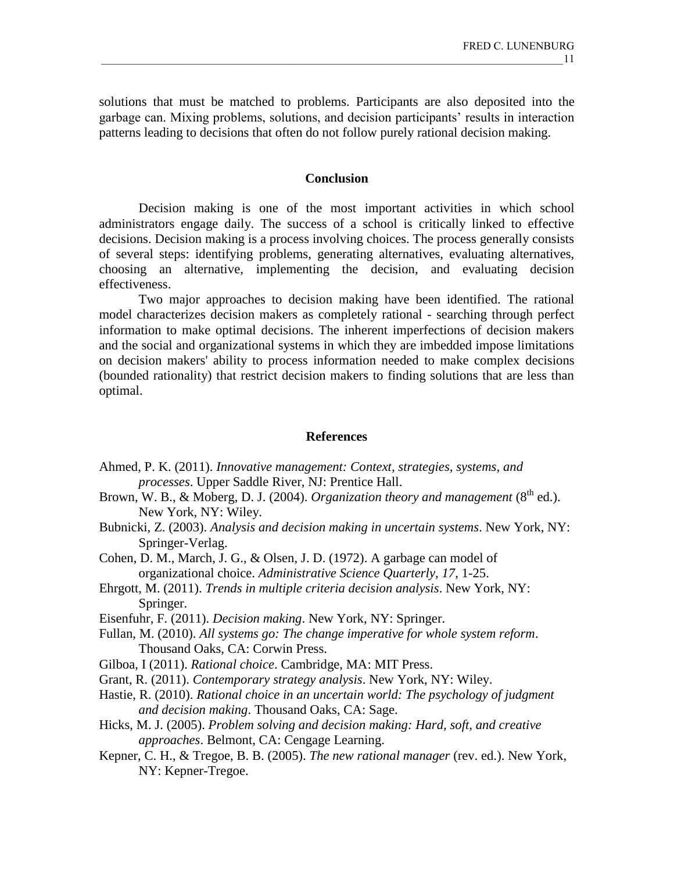solutions that must be matched to problems. Participants are also deposited into the garbage can. Mixing problems, solutions, and decision participants' results in interaction patterns leading to decisions that often do not follow purely rational decision making.

#### **Conclusion**

Decision making is one of the most important activities in which school administrators engage daily. The success of a school is critically linked to effective decisions. Decision making is a process involving choices. The process generally consists of several steps: identifying problems, generating alternatives, evaluating alternatives, choosing an alternative, implementing the decision, and evaluating decision effectiveness.

Two major approaches to decision making have been identified. The rational model characterizes decision makers as completely rational - searching through perfect information to make optimal decisions. The inherent imperfections of decision makers and the social and organizational systems in which they are imbedded impose limitations on decision makers' ability to process information needed to make complex decisions (bounded rationality) that restrict decision makers to finding solutions that are less than optimal.

#### **References**

- Ahmed, P. K. (2011). *Innovative management: Context, strategies, systems, and processes*. Upper Saddle River, NJ: Prentice Hall.
- Brown, W. B., & Moberg, D. J. (2004). *Organization theory and management* (8<sup>th</sup> ed.). New York, NY: Wiley.
- Bubnicki, Z. (2003). *Analysis and decision making in uncertain systems*. New York, NY: Springer-Verlag.
- Cohen, D. M., March, J. G., & Olsen, J. D. (1972). A garbage can model of organizational choice. *Administrative Science Quarterly, 17*, 1-25.
- Ehrgott, M. (2011). *Trends in multiple criteria decision analysis*. New York, NY: Springer.
- Eisenfuhr, F. (2011). *Decision making*. New York, NY: Springer.
- Fullan, M. (2010). *All systems go: The change imperative for whole system reform*. Thousand Oaks, CA: Corwin Press.
- Gilboa, I (2011). *Rational choice*. Cambridge, MA: MIT Press.
- Grant, R. (2011). *Contemporary strategy analysis*. New York, NY: Wiley.
- Hastie, R. (2010). *Rational choice in an uncertain world: The psychology of judgment and decision making*. Thousand Oaks, CA: Sage.
- Hicks, M. J. (2005). *Problem solving and decision making: Hard, soft, and creative approaches*. Belmont, CA: Cengage Learning.
- Kepner, C. H., & Tregoe, B. B. (2005). *The new rational manager* (rev. ed.). New York, NY: Kepner-Tregoe.